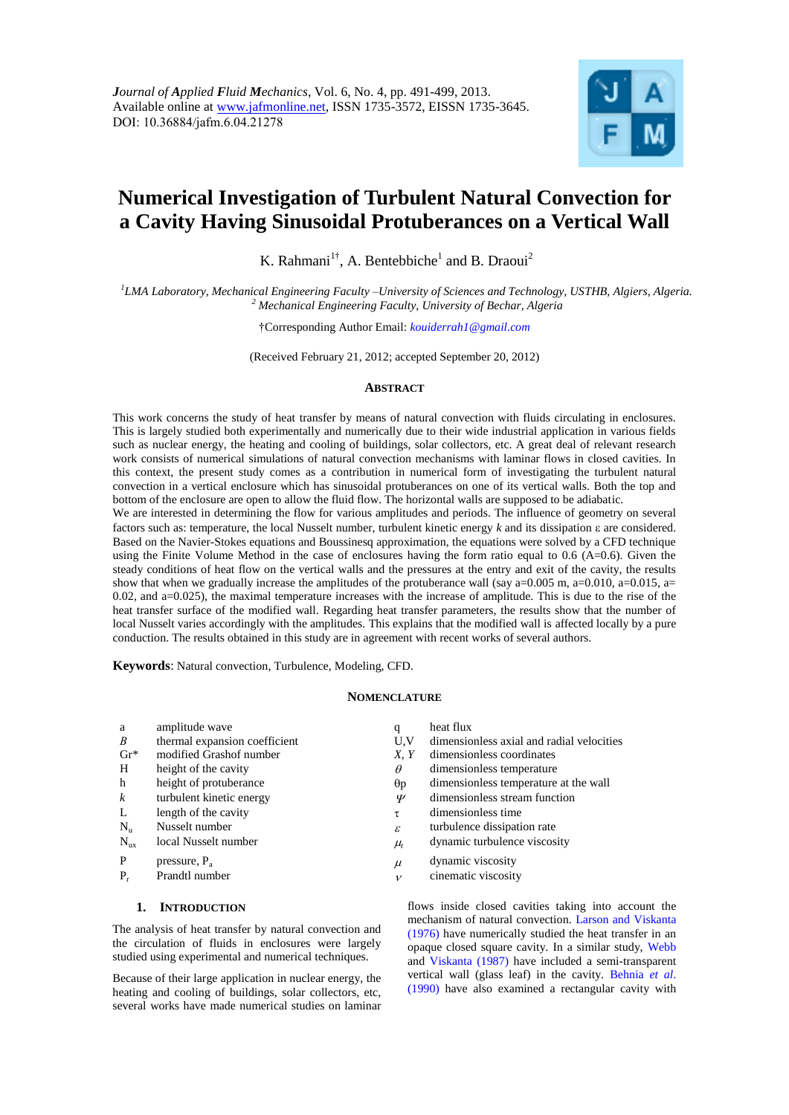

# **Numerical Investigation of Turbulent Natural Convection for a Cavity Having Sinusoidal Protuberances on a Vertical Wall**

K. Rahmani<sup>1†</sup>, A. Bentebbiche<sup>1</sup> and B. Draoui<sup>2</sup>

*1 LMA Laboratory, Mechanical Engineering Faculty –University of Sciences and Technology, USTHB, Algiers, Algeria. <sup>2</sup> Mechanical Engineering Faculty, University of Bechar, Algeria* 

†Corresponding Author Email: *kouiderrah1@gmail.com*

(Received February 21, 2012; accepted September 20, 2012)

## **ABSTRACT**

This work concerns the study of heat transfer by means of natural convection with fluids circulating in enclosures. This is largely studied both experimentally and numerically due to their wide industrial application in various fields such as nuclear energy, the heating and cooling of buildings, solar collectors, etc. A great deal of relevant research work consists of numerical simulations of natural convection mechanisms with laminar flows in closed cavities. In this context, the present study comes as a contribution in numerical form of investigating the turbulent natural convection in a vertical enclosure which has sinusoidal protuberances on one of its vertical walls. Both the top and bottom of the enclosure are open to allow the fluid flow. The horizontal walls are supposed to be adiabatic.

We are interested in determining the flow for various amplitudes and periods. The influence of geometry on several factors such as: temperature, the local Nusselt number, turbulent kinetic energy  $k$  and its dissipation  $\varepsilon$  are considered. Based on the Navier-Stokes equations and Boussinesq approximation, the equations were solved by a CFD technique using the Finite Volume Method in the case of enclosures having the form ratio equal to 0.6 (A=0.6). Given the steady conditions of heat flow on the vertical walls and the pressures at the entry and exit of the cavity, the results show that when we gradually increase the amplitudes of the protuberance wall (say  $a=0.005$  m,  $a=0.010$ ,  $a=0.015$ ,  $a=$ 0.02, and a=0.025), the maximal temperature increases with the increase of amplitude. This is due to the rise of the heat transfer surface of the modified wall. Regarding heat transfer parameters, the results show that the number of local Nusselt varies accordingly with the amplitudes. This explains that the modified wall is affected locally by a pure conduction. The results obtained in this study are in agreement with recent works of several authors.

**Keywords**: Natural convection, Turbulence, Modeling, CFD.

#### **NOMENCLATURE**

| a                | amplitude wave                | q             | heat flux                                 |
|------------------|-------------------------------|---------------|-------------------------------------------|
| $\boldsymbol{B}$ | thermal expansion coefficient | U.V           | dimensionless axial and radial velocities |
| $\mathrm{Gr}^*$  | modified Grashof number       | X, Y          | dimensionless coordinates                 |
| H                | height of the cavity          | $\theta$      | dimensionless temperature                 |
| h                | height of protuberance        | $\Theta p$    | dimensionless temperature at the wall     |
| $\boldsymbol{k}$ | turbulent kinetic energy      | Ψ             | dimensionless stream function             |
| L                | length of the cavity          | τ             | dimensionless time                        |
| $N_{\rm n}$      | Nusselt number                | $\mathcal{E}$ | turbulence dissipation rate               |
| $N_{\rm ux}$     | local Nusselt number          | $\mu_t$       | dynamic turbulence viscosity              |
| P                | pressure, $P_a$               | $\mu$         | dynamic viscosity                         |
| $P_r$            | Prandtl number                | $\mathcal{V}$ | cinematic viscosity                       |

# **1. INTRODUCTION**

The analysis of heat transfer by natural convection and the circulation of fluids in enclosures were largely studied using experimental and numerical techniques.

Because of their large application in nuclear energy, the heating and cooling of buildings, solar collectors, etc, several works have made numerical studies on laminar

flows inside closed cavities taking into account the mechanism of natural convection. Larson and Viskanta (1976) have numerically studied the heat transfer in an opaque closed square cavity. In a similar study, Webb and Viskanta (1987) have included a semi-transparent vertical wall (glass leaf) in the cavity. Behnia *et al*. (1990) have also examined a rectangular cavity with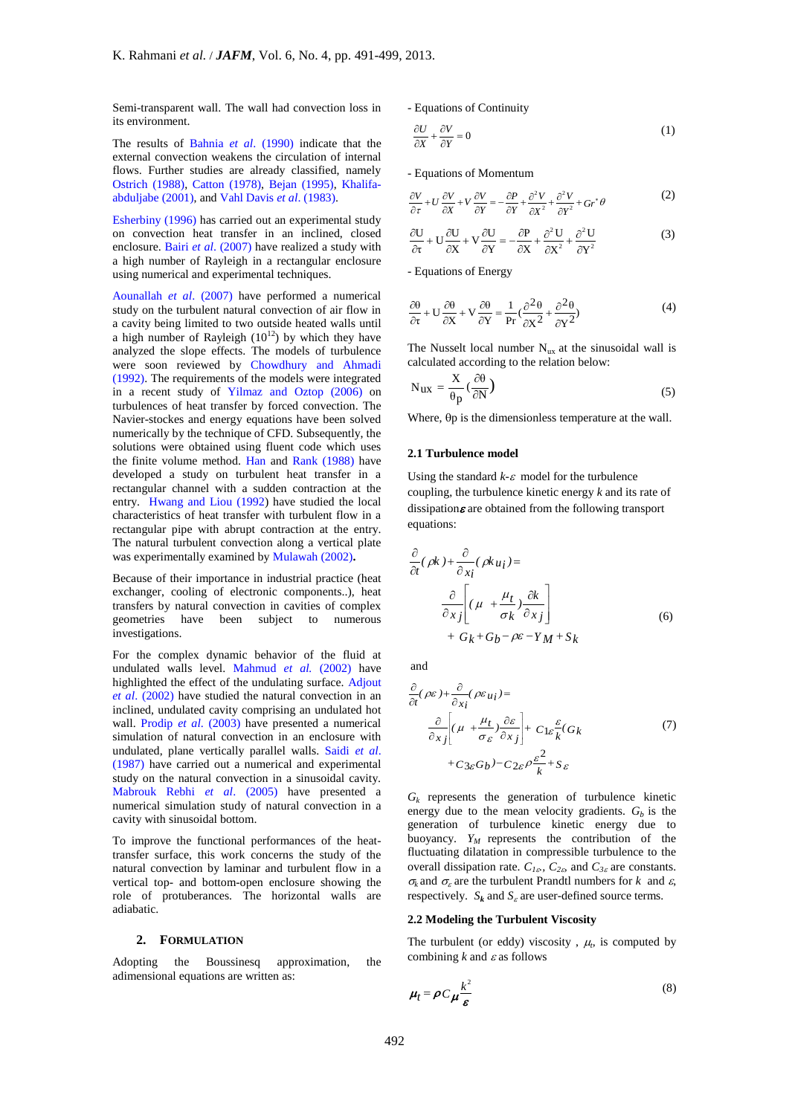Semi-transparent wall. The wall had convection loss in its environment.

The results of Bahnia *et al*. (1990) indicate that the external convection weakens the circulation of internal flows. Further studies are already classified, namely Ostrich (1988), Catton (1978), Bejan (1995), Khalifaabduljabe (2001), and Vahl Davis *et al*. (1983).

Esherbiny (1996) has carried out an experimental study on convection heat transfer in an inclined, closed enclosure. Bairi *et al*. (2007) have realized a study with a high number of Rayleigh in a rectangular enclosure using numerical and experimental techniques.

Aounallah *et al*. (2007) have performed a numerical study on the turbulent natural convection of air flow in a cavity being limited to two outside heated walls until a high number of Rayleigh  $(10^{12})$  by which they have analyzed the slope effects. The models of turbulence were soon reviewed by Chowdhury and Ahmadi (1992). The requirements of the models were integrated in a recent study of Yilmaz and Oztop (2006) on turbulences of heat transfer by forced convection. The Navier-stockes and energy equations have been solved numerically by the technique of CFD. Subsequently, the solutions were obtained using fluent code which uses the finite volume method. Han and Rank (1988) have developed a study on turbulent heat transfer in a rectangular channel with a sudden contraction at the entry. Hwang and Liou (1992) have studied the local characteristics of heat transfer with turbulent flow in a rectangular pipe with abrupt contraction at the entry. The natural turbulent convection along a vertical plate was experimentally examined by Mulawah (2002)**.**

Because of their importance in industrial practice (heat exchanger, cooling of electronic components..), heat transfers by natural convection in cavities of complex geometries have been subject to numerous investigations.

For the complex dynamic behavior of the fluid at undulated walls level. Mahmud *et al.* (2002) have highlighted the effect of the undulating surface. Adjout *et al*. (2002) have studied the natural convection in an inclined, undulated cavity comprising an undulated hot wall. Prodip *et al*. (2003) have presented a numerical simulation of natural convection in an enclosure with undulated, plane vertically parallel walls. Saidi *et al*. (1987) have carried out a numerical and experimental study on the natural convection in a sinusoidal cavity. Mabrouk Rebhi *et al*. (2005) have presented a numerical simulation study of natural convection in a cavity with sinusoidal bottom.

To improve the functional performances of the heattransfer surface, this work concerns the study of the natural convection by laminar and turbulent flow in a vertical top- and bottom-open enclosure showing the role of protuberances. The horizontal walls are adiabatic.

#### **2. FORMULATION**

Adopting the Boussinesq approximation, the adimensional equations are written as:

- Equations of Continuity

$$
\frac{\partial U}{\partial X} + \frac{\partial V}{\partial Y} = 0\tag{1}
$$

- Equations of Momentum

$$
\frac{\partial V}{\partial \tau} + U \frac{\partial V}{\partial X} + V \frac{\partial V}{\partial Y} = -\frac{\partial P}{\partial Y} + \frac{\partial^2 V}{\partial X^2} + \frac{\partial^2 V}{\partial Y^2} + Gr^* \theta
$$
 (2)

$$
\frac{\partial U}{\partial t} + U \frac{\partial U}{\partial X} + V \frac{\partial U}{\partial Y} = -\frac{\partial P}{\partial X} + \frac{\partial^2 U}{\partial X^2} + \frac{\partial^2 U}{\partial Y^2}
$$
(3)

- Equations of Energy

$$
\frac{\partial \theta}{\partial \tau} + U \frac{\partial \theta}{\partial X} + V \frac{\partial \theta}{\partial Y} = \frac{1}{\text{Pr}} \left( \frac{\partial^2 \theta}{\partial X^2} + \frac{\partial^2 \theta}{\partial Y^2} \right)
$$
(4)

The Nusselt local number  $N_{ux}$  at the sinusoidal wall is calculated according to the relation below:

$$
N_{ux} = \frac{X}{\theta p} \left( \frac{\partial \theta}{\partial N} \right)
$$
 (5)

Where,  $\theta p$  is the dimensionless temperature at the wall.

#### **2.1 Turbulence model**

Using the standard  $k$ - $\varepsilon$  model for the turbulence coupling, the turbulence kinetic energy *k* and its rate of dissipation $\varepsilon$  are obtained from the following transport equations:

$$
\frac{\partial}{\partial t}(\rho k) + \frac{\partial}{\partial x_i}(\rho k u_i) =
$$
\n
$$
\frac{\partial}{\partial x_j} \left[ (\mu + \frac{\mu_t}{\sigma_k}) \frac{\partial k}{\partial x_j} \right]
$$
\n
$$
+ G_k + G_b - \rho \varepsilon - Y_M + S_k
$$
\n(6)

and

$$
\frac{\partial}{\partial t}(\rho \varepsilon) + \frac{\partial}{\partial x_i}(\rho \varepsilon_{u_i}) =
$$
\n
$$
\frac{\partial}{\partial x_j} \left[ (\mu + \frac{\mu_t}{\sigma_{\varepsilon}}) \frac{\partial \varepsilon}{\partial x_j} \right] + C_{1\varepsilon} \frac{\varepsilon}{k} (G_k)
$$
\n
$$
+ C_{3\varepsilon} G_b) - C_{2\varepsilon} \rho \frac{\varepsilon^2}{k} + S_{\varepsilon}
$$
\n(7)

 $G_k$  represents the generation of turbulence kinetic energy due to the mean velocity gradients.  $G_b$  is the generation of turbulence kinetic energy due to buoyancy. *Y<sup>M</sup>* represents the contribution of the fluctuating dilatation in compressible turbulence to the overall dissipation rate.  $C_{1\epsilon}$ ,  $C_{2\epsilon}$  and  $C_{3\epsilon}$  are constants.  $\sigma_k$  and  $\sigma_s$  are the turbulent Prandtl numbers for *k* and  $\varepsilon$ , respectively.  $S_k$  and  $S_k$  are user-defined source terms.

#### **2.2 Modeling the Turbulent Viscosity**

The turbulent (or eddy) viscosity,  $\mu_t$ , is computed by combining  $k$  and  $\varepsilon$  as follows

$$
\mu_t = \rho C \mu \frac{k^2}{\varepsilon} \tag{8}
$$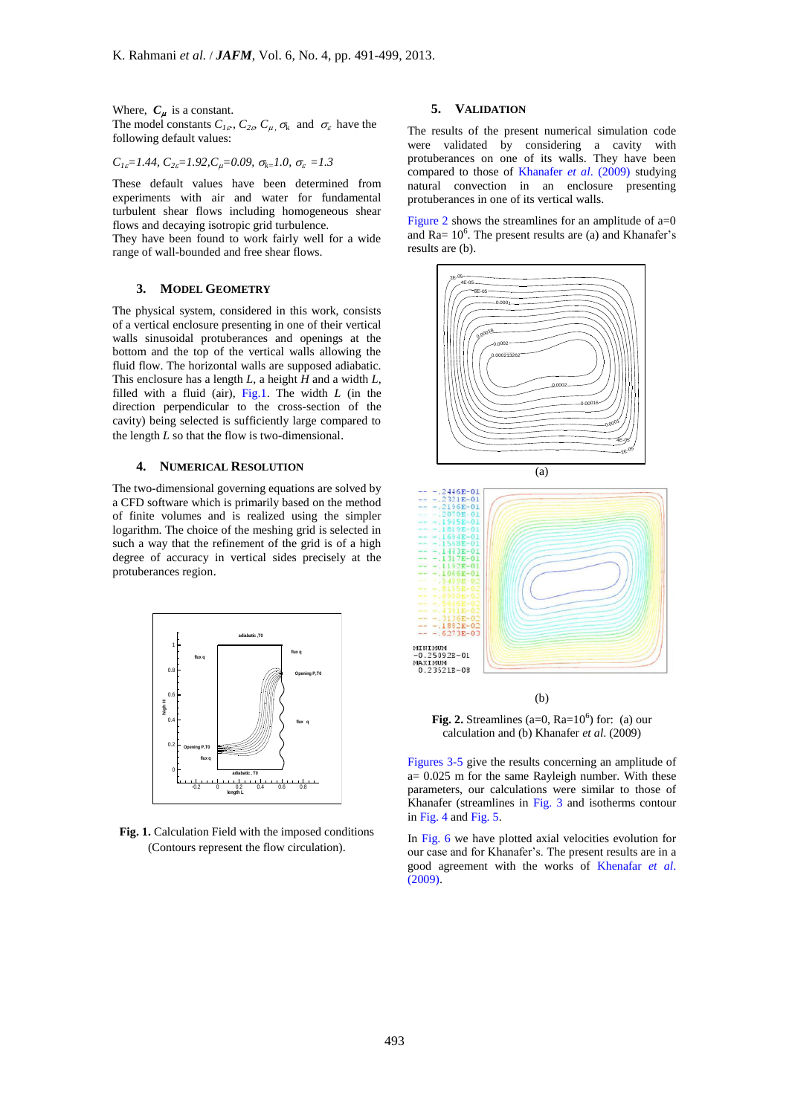Where,  $C_{\mu}$  is a constant. The model constants  $C_{1\epsilon}$ ,  $C_{2\epsilon}$ ,  $C_{\mu}$ ,  $\sigma_{k}$  and  $\sigma_{\epsilon}$  have the following default values:

$$
C_{1\varepsilon} = 1.44
$$
,  $C_{2\varepsilon} = 1.92$ ,  $C_{\mu} = 0.09$ ,  $\sigma_{k} = 1.0$ ,  $\sigma_{\varepsilon} = 1.3$ 

These default values have been determined from experiments with air and water for fundamental **turbulent** shear flows including homogeneous shear protection flows and decaying isotropic grid turbulence.

They have been found to work fairly well for a wide range of wall-bounded and free shear flows.

## **3. MODEL GEOMETRY**

The physical system, considered in this work, consists of a vertical enclosure presenting in one of their vertical walls sinusoidal protuberances and openings at the bottom and the top of the vertical walls allowing the fluid flow. The horizontal walls are supposed adiabatic. This enclosure has a length *L*, a height *H* and a width *L*, filled with a fluid (air), Fig.1. The width  $L$  (in the direction perpendicular to the cross-section of the cavity) being selected is sufficiently large compared to the length *L* so that the flow is two-dimensional.

## **4. NUMERICAL RESOLUTION**

The two-dimensional governing equations are solved by a CFD software which is primarily based on the method of finite volumes and is realized using the simpler logarithm. The choice of the meshing grid is selected in such a way that the refinement of the grid is of a high degree of accuracy in vertical sides precisely at the protuberances region.



**Fig. 1.** Calculation Field with the imposed conditions (Contours represent the flow circulation).

# **5. VALIDATION**

The results of the present numerical simulation code were validated by considering a cavity with protuberances on one of its walls. They have been compared to those of Khanafer *et al*. (2009) studying natural convection in an enclosure presenting protuberances in one of its vertical walls.

Figure 2 shows the streamlines for an amplitude of  $a=0$ and Ra=  $10^6$ . The present results are (a) and Khanafer's results are (b).



(b)

**Fig. 2.** Streamlines ( $a=0$ ,  $Ra=10^6$ ) for: (a) our calculation and (b) Khanafer *et al*. (2009)

Figures 3-5 give the results concerning an amplitude of  $a= 0.025$  m for the same Rayleigh number. With these parameters, our calculations were similar to those of Khanafer (streamlines in Fig. 3 and isotherms contour in Fig. 4 and Fig. 5.

In Fig. 6 we have plotted axial velocities evolution for our case and for Khanafer's. The present results are in a good agreement with the works of Khenafar *et al*. (2009).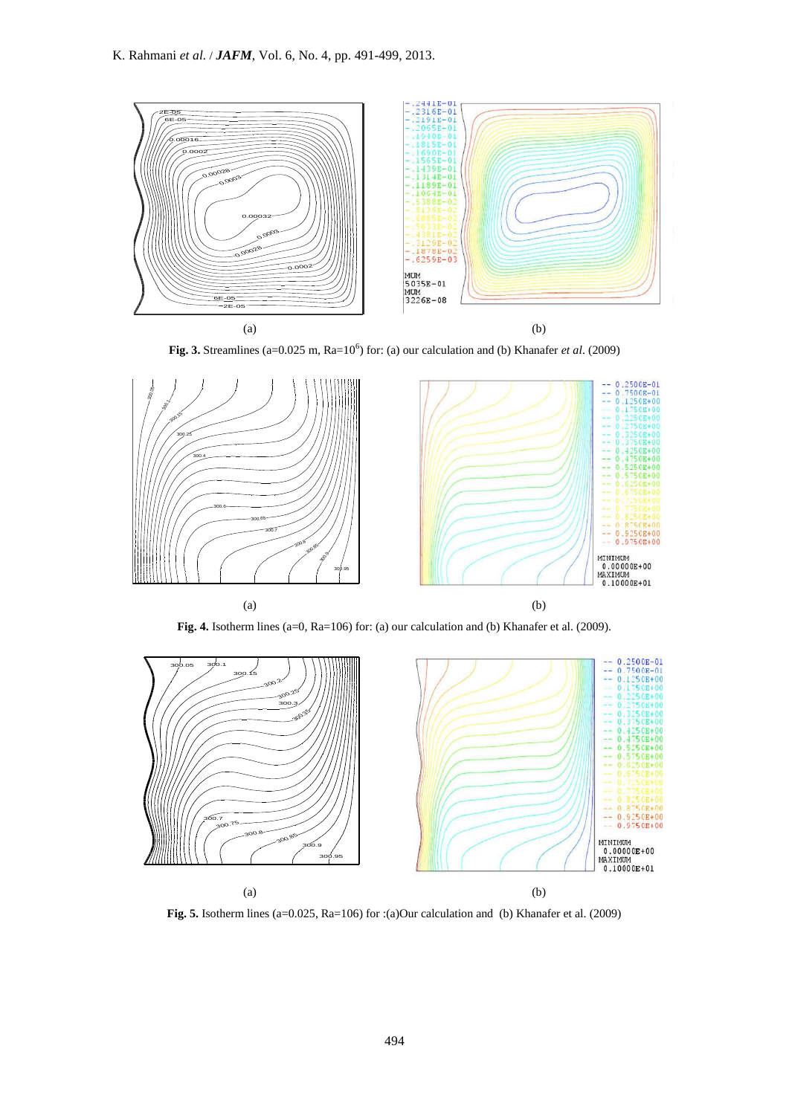

(a)<br>**Fig. 3.** Streamlines (a=0.025 m, Ra=10<sup>6</sup>) for: (a) our calculation and (b) Khanafer *et al.* (2009)



**Fig. 4.** Isotherm lines (a=0, Ra=106) for: (a) our calculation and (b) Khanafer et al. (2009).



**Fig. 5.** Isotherm lines (a=0.025, Ra=106) for :(a)Our calculation and (b) Khanafer et al. (2009)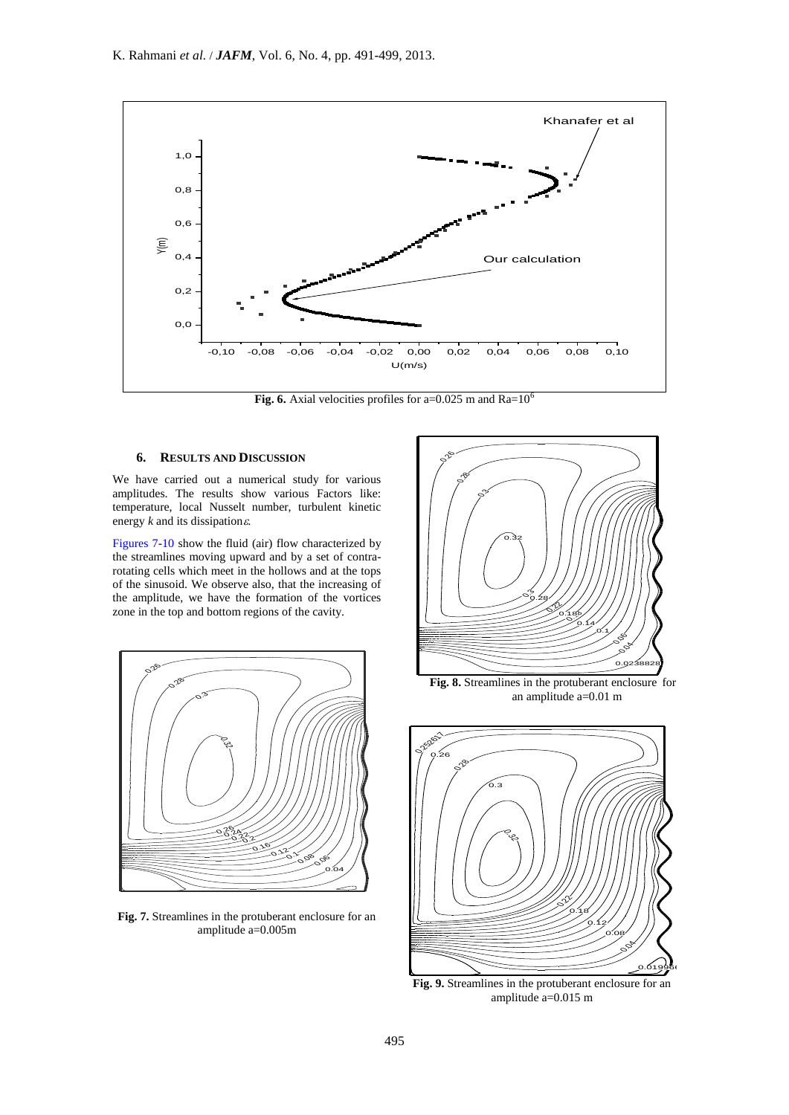

**Fig.** 6. Axial velocities profiles for a= $0.025$  m and  $Ra=10^6$ 

## **6. RESULTS AND DISCUSSION**

We have carried out a numerical study for various amplitudes. The results show various Factors like: temperature, local Nusselt number, turbulent kinetic energy  $k$  and its dissipation $\varepsilon$ .

energy  $\kappa$  and its dissipations:<br>Figures 7-10 show the fluid (air) flow characterized by the streamlines moving upward and by a set of contrarotating cells which meet in the hollows and at the tops<br>of the sinusoid. We observe also, that the increasing of of the sinusoid. We observe also, that the increasing of the amplitude, we have the formation of the vortices zone in the top and bottom regions of the cavity. 0.2



0 0.2 0.4 0.6 0.8 1 1.2 **Fig. 7.** Streamlines in the protuberant enclosure for an 0.2 amplitude a=0.005m



an amplitude  $a=0.01$  m **Fig. 8.** Streamlines in the protuberant enclosure for an amplitude a=0.01 m



 $\mu_{\text{0}} = 0.013 \text{ m}$ **Fig. 9.** Streamlines in the protuberant enclosure for an amplitude a=0.015 m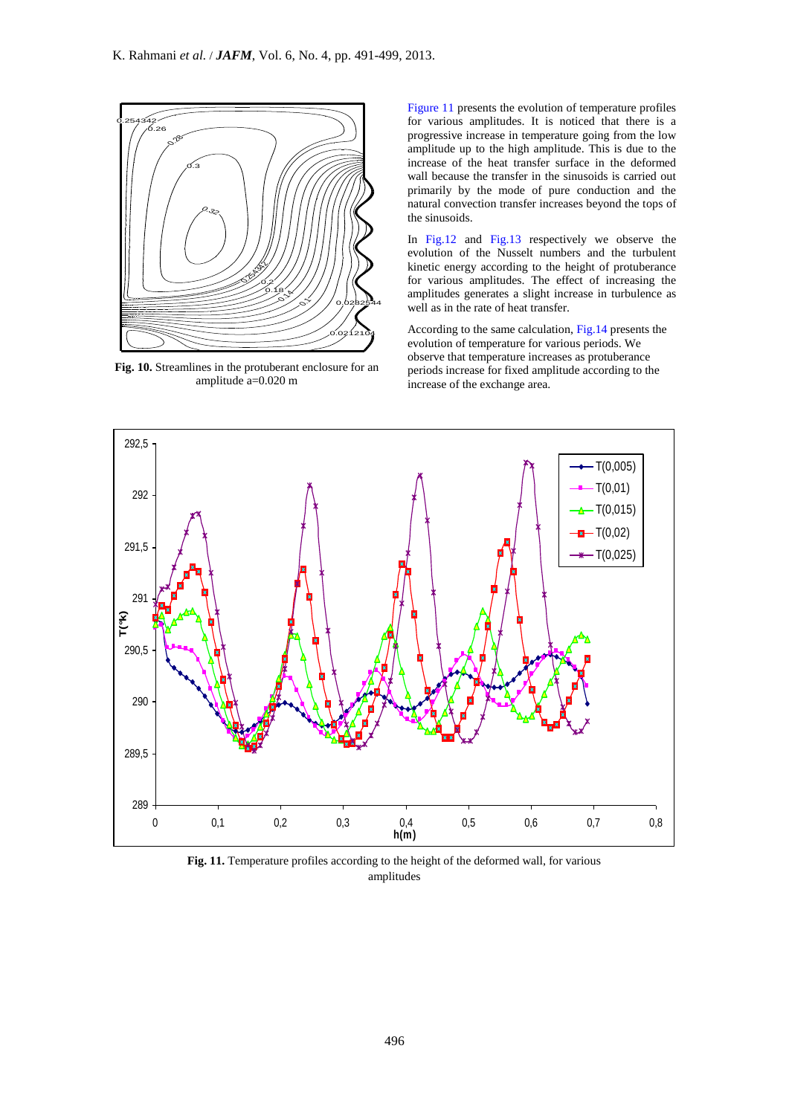

amplitude a=0.020 m increase of the exchange area. **Fig. 10.** Streamlines in the protuberant enclosure for an amplitude a=0.020 m

Figure 11 presents the evolution of temperature profiles for various amplitudes. It is noticed that there is a progressive increase in temperature going from the low amplitude up to the high amplitude. This is due to the increase of the heat transfer surface in the deformed wall because the transfer in the sinusoids is carried out primarily by the mode of pure conduction and the natural convection transfer increases beyond the tops of the sinusoids.

In Fig.12 and Fig.13 respectively we observe the evolution of the Nusselt numbers and the turbulent kinetic energy according to the height of protuberance for various amplitudes. The effect of increasing the amplitudes generates a slight increase in turbulence as well as in the rate of heat transfer.

According to the same calculation, Fig.14 presents the evolution of temperature for various periods. We observe that temperature increases as protuberance periods increase for fixed amplitude according to the



**Fig. 11.** Temperature profiles according to the height of the deformed wall, for various amplitudes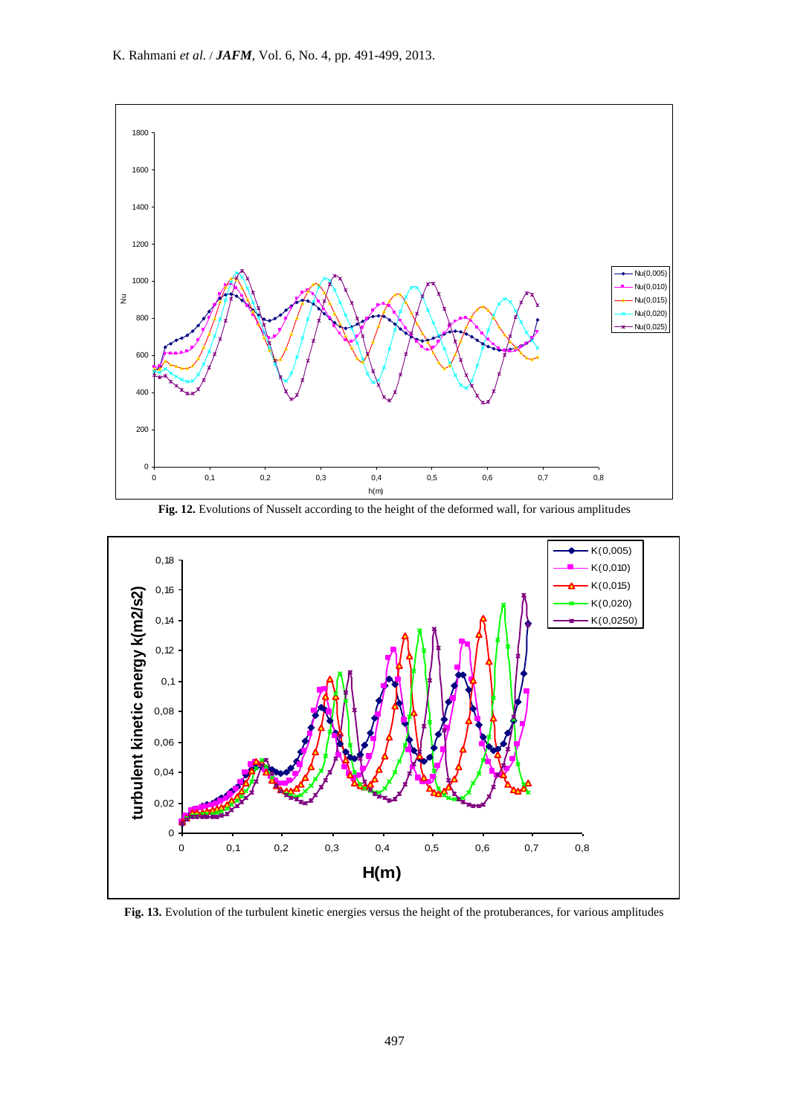

**Fig. 12.** Evolutions of Nusselt according to the height of the deformed wall, for various amplitudes



**Fig. 13.** Evolution of the turbulent kinetic energies versus the height of the protuberances, for various amplitudes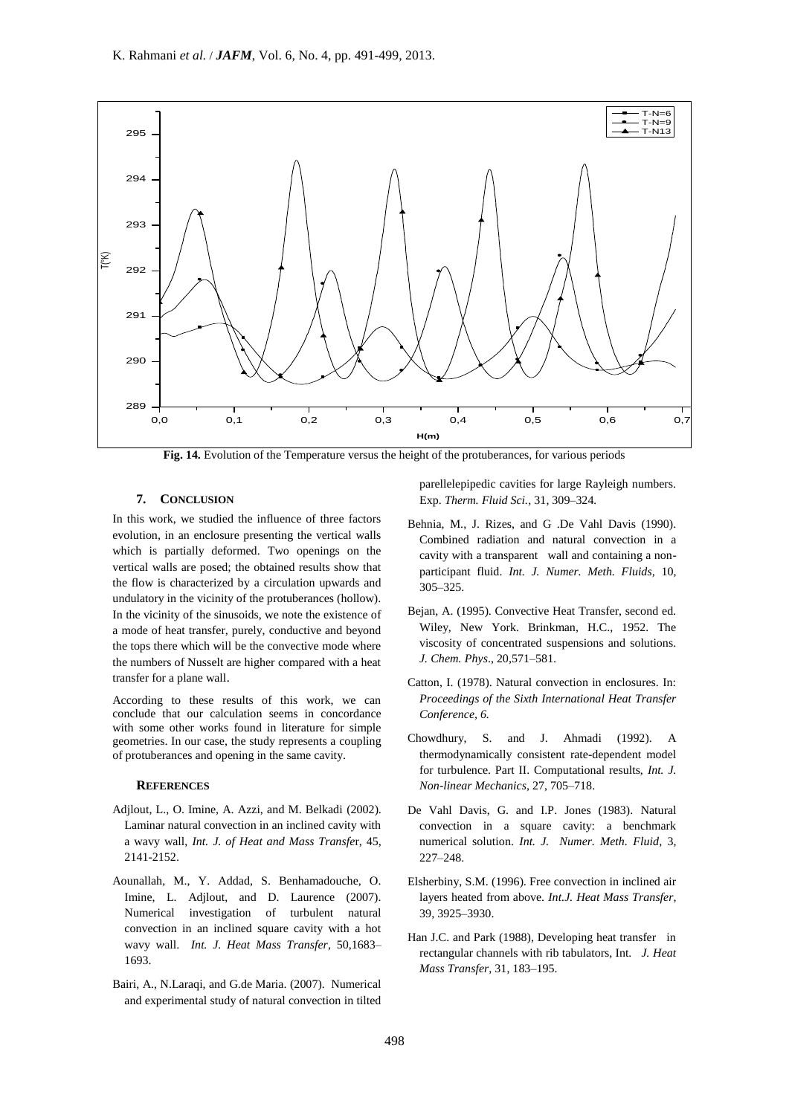

**Fig. 14.** Evolution of the Temperature versus the height of the protuberances, for various periods

# **7. CONCLUSION**

In this work, we studied the influence of three factors evolution, in an enclosure presenting the vertical walls which is partially deformed. Two openings on the vertical walls are posed; the obtained results show that the flow is characterized by a circulation upwards and undulatory in the vicinity of the protuberances (hollow). In the vicinity of the sinusoids, we note the existence of a mode of heat transfer, purely, conductive and beyond the tops there which will be the convective mode where the numbers of Nusselt are higher compared with a heat transfer for a plane wall.

According to these results of this work, we can conclude that our calculation seems in concordance with some other works found in literature for simple geometries. In our case, the study represents a coupling of protuberances and opening in the same cavity.

### **REFERENCES**

- Adjlout, L., O. Imine, A. Azzi, and M. Belkadi (2002). Laminar natural convection in an inclined cavity with a wavy wall, *Int. J. of Heat and Mass Transfe*r, 45, 2141-2152.
- Aounallah, M., Y. Addad, S. Benhamadouche, O. Imine, L. Adjlout, and D. Laurence (2007). Numerical investigation of turbulent natural convection in an inclined square cavity with a hot wavy wall. *Int. J. Heat Mass Transfer,* 50,1683– 1693.
- Bairi, A., N.Laraqi, and G.de Maria. (2007). Numerical and experimental study of natural convection in tilted

parellelepipedic cavities for large Rayleigh numbers. Exp. *Therm. Fluid Sci.,* 31, 309–324*.*

- Behnia, M., J. Rizes, and G .De Vahl Davis (1990). Combined radiation and natural convection in a cavity with a transparent wall and containing a nonparticipant fluid. *Int. J. Numer. Meth. Fluids,* 10, 305–325.
- Bejan, A. (1995). Convective Heat Transfer, second ed. Wiley, New York. Brinkman, H.C., 1952. The viscosity of concentrated suspensions and solutions. *J. Chem. Phys*., 20,571–581.
- Catton, I. (1978). Natural convection in enclosures. In: *Proceedings of the Sixth International Heat Transfer Conference, 6.*
- Chowdhury, S. and J. Ahmadi (1992). A thermodynamically consistent rate-dependent model for turbulence. Part II. Computational results, *Int. J. Non-linear Mechanics,* 27, 705–718.
- De Vahl Davis, G. and I.P. Jones (1983). Natural convection in a square cavity: a benchmark numerical solution. *Int. J. Numer. Meth. Fluid,* 3, 227–248.
- Elsherbiny, S.M. (1996). Free convection in inclined air layers heated from above. *Int.J. Heat Mass Transfer,* 39, 3925–3930.
- Han J.C. and Park (1988), Developing heat transfer in rectangular channels with rib tabulators, Int. *J. Heat Mass Transfer,* 31, 183–195.